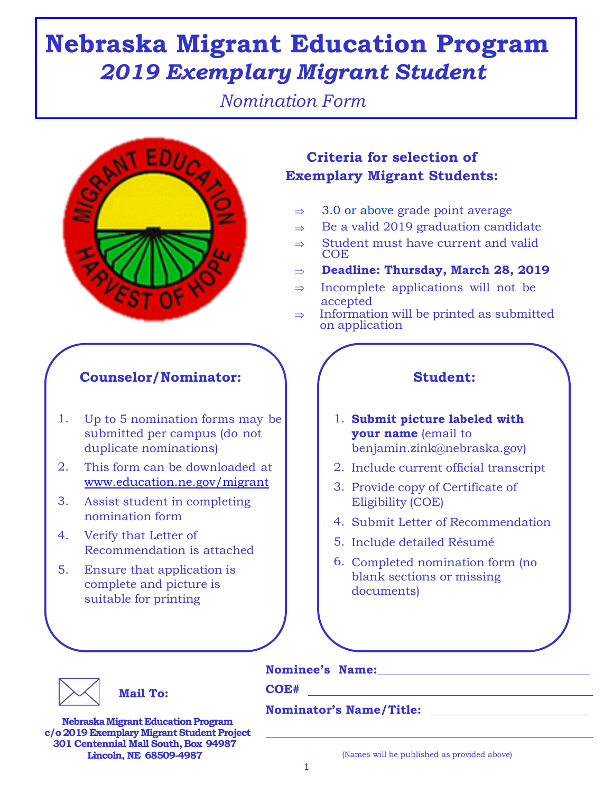# **Nebraska Migrant Education Program** *2019 Exemplary Migrant Student*

*Nomination Form*



## **Counselor/Nominator:**  $\qquad$  / Student:

- 1. Up to 5 nomination forms may be submitted per campus (do not duplicate nominations)
- 2. This form can be downloaded at  $\begin{vmatrix} 2 & 2 \end{vmatrix}$ www.education.ne.gov/migrant
- Assist student in completing nomination form 3.
- Verify that Letter of Recommendation is attached 4.
- Ensure that application is complete and picture is suitable for printing 5.

# **Criteria for selection of Exemplary Migrant Students:**

- 3.0 or above grade point average  $\Rightarrow$
- Be a valid 2019 graduation candidate  $\Rightarrow$
- Student must have current and valid **COE**  $\Rightarrow$
- **Deadline: Thursday, March 28, 2019**  $\Rightarrow$
- $\Rightarrow$ Incomplete applications will not be accepted
- Information will be printed as submitted on application  $\Rightarrow$

- 1. **Submit picture labeled with your name** (email to benjamin.zink@nebraska.gov)
- 2. Include current official transcript
- 3. Provide copy of Certificate of Eligibility (COE)
- 4. Submit Letter of Recommendation
- 5. Include detailed Résumé
- 6. Completed nomination form (no blank sections or missing documents)



### **Mail To: COE#**

**Nominee's Name:**

**Nominator's Name/Title:** 

**Nebraska Migrant Education Program c/o2019 ExemplaryMigrantStudentProject 301 Centennial Mall South,Box 94987**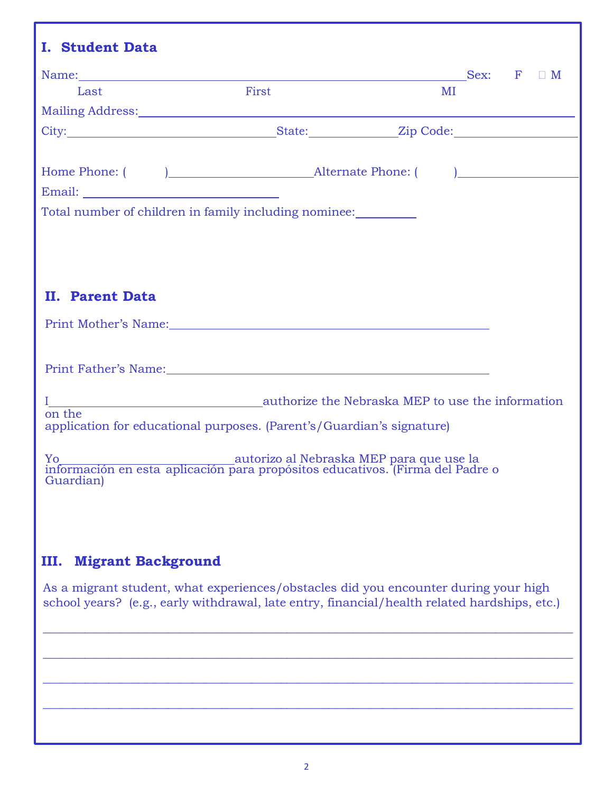|                           |                                                                                                                           | Sex: $F \square M$                                                                           |
|---------------------------|---------------------------------------------------------------------------------------------------------------------------|----------------------------------------------------------------------------------------------|
| Last                      | First                                                                                                                     | MI                                                                                           |
|                           |                                                                                                                           |                                                                                              |
|                           |                                                                                                                           |                                                                                              |
|                           |                                                                                                                           |                                                                                              |
|                           |                                                                                                                           |                                                                                              |
|                           |                                                                                                                           |                                                                                              |
|                           | Total number of children in family including nominee:                                                                     |                                                                                              |
|                           |                                                                                                                           |                                                                                              |
|                           |                                                                                                                           |                                                                                              |
|                           |                                                                                                                           |                                                                                              |
|                           |                                                                                                                           |                                                                                              |
|                           |                                                                                                                           |                                                                                              |
| <b>II. Parent Data</b>    |                                                                                                                           |                                                                                              |
|                           | Print Mother's Name: 1997 - 1998 - 1999 - 1999 - 1999 - 1999 - 1999 - 1999 - 1999 - 1999 - 1999 - 1999 - 1999             |                                                                                              |
|                           |                                                                                                                           |                                                                                              |
|                           |                                                                                                                           |                                                                                              |
|                           | Print Father's Name: Manual Manual Manual Manual Manual Manual Manual Manual Manual Manual Manual Manual Manua            |                                                                                              |
|                           |                                                                                                                           |                                                                                              |
|                           |                                                                                                                           |                                                                                              |
| on the                    |                                                                                                                           |                                                                                              |
|                           | application for educational purposes. (Parent's/Guardian's signature)                                                     |                                                                                              |
|                           |                                                                                                                           |                                                                                              |
|                           | Yo autorizo al Nebraska MEP para que use la información en esta aplicación para propósitos educativos. (Firma del Padre o |                                                                                              |
| Guardian)                 |                                                                                                                           |                                                                                              |
|                           |                                                                                                                           |                                                                                              |
|                           |                                                                                                                           |                                                                                              |
|                           |                                                                                                                           |                                                                                              |
|                           |                                                                                                                           |                                                                                              |
|                           |                                                                                                                           |                                                                                              |
|                           |                                                                                                                           |                                                                                              |
| <b>Migrant Background</b> |                                                                                                                           |                                                                                              |
| III.                      |                                                                                                                           | As a migrant student, what experiences/obstacles did you encounter during your high          |
|                           |                                                                                                                           | school years? (e.g., early withdrawal, late entry, financial/health related hardships, etc.) |

 $\_$  , and the set of the set of the set of the set of the set of the set of the set of the set of the set of the set of the set of the set of the set of the set of the set of the set of the set of the set of the set of th

\_\_\_\_\_\_\_\_\_\_\_\_\_\_\_\_\_\_\_\_\_\_\_\_\_\_\_\_\_\_\_\_\_\_\_\_\_\_\_\_\_\_\_\_\_\_\_\_\_\_\_\_\_\_\_\_\_\_\_\_\_\_\_\_\_\_\_\_\_\_\_\_\_\_\_\_\_\_\_\_\_\_\_\_\_\_\_\_\_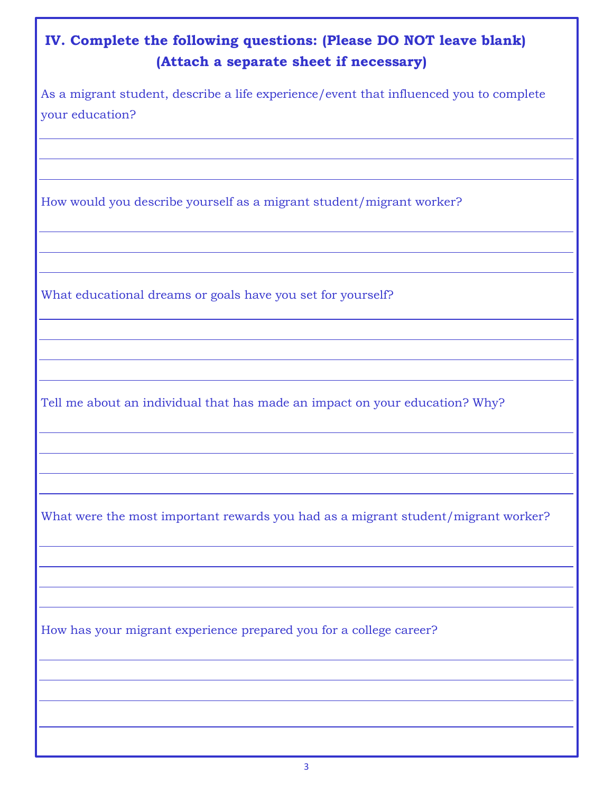| IV. Complete the following questions: (Please DO NOT leave blank)<br>(Attach a separate sheet if necessary) |  |  |
|-------------------------------------------------------------------------------------------------------------|--|--|
| As a migrant student, describe a life experience/event that influenced you to complete<br>your education?   |  |  |
|                                                                                                             |  |  |
| How would you describe yourself as a migrant student/migrant worker?                                        |  |  |
|                                                                                                             |  |  |
| What educational dreams or goals have you set for yourself?                                                 |  |  |
|                                                                                                             |  |  |
| Tell me about an individual that has made an impact on your education? Why?                                 |  |  |
|                                                                                                             |  |  |
| What were the most important rewards you had as a migrant student/migrant worker?                           |  |  |
|                                                                                                             |  |  |
| How has your migrant experience prepared you for a college career?                                          |  |  |
|                                                                                                             |  |  |
|                                                                                                             |  |  |